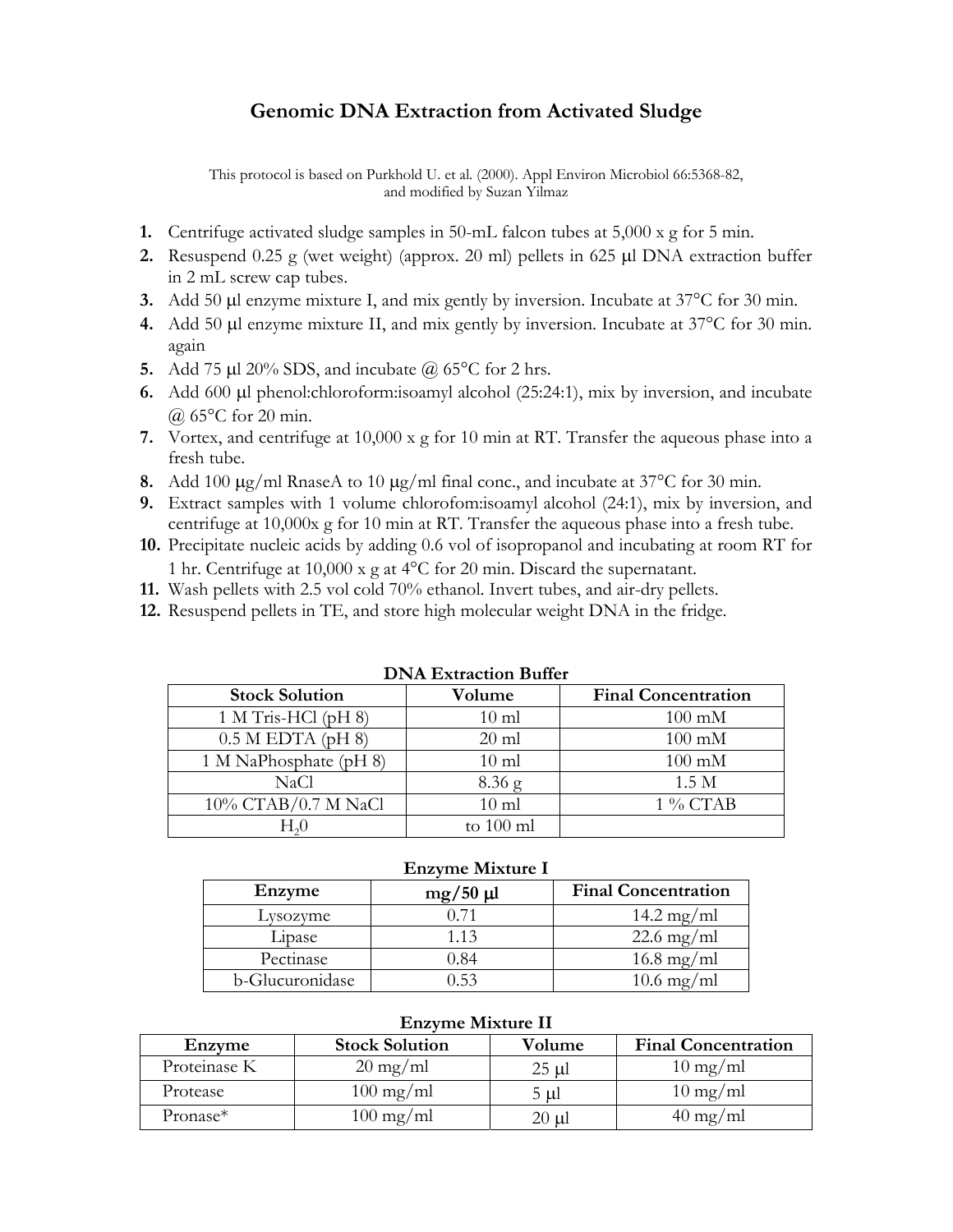## **Genomic DNA Extraction from Activated Sludge**

This protocol is based on Purkhold U. et al. (2000). Appl Environ Microbiol 66:5368-82, and modified by Suzan Yilmaz

- **1.** Centrifuge activated sludge samples in 50-mL falcon tubes at 5,000 x g for 5 min.
- **2.** Resuspend 0.25 g (wet weight) (approx. 20 ml) pellets in 625 μl DNA extraction buffer in 2 mL screw cap tubes.
- **3.** Add 50 μl enzyme mixture I, and mix gently by inversion. Incubate at 37°C for 30 min.
- **4.** Add 50 μl enzyme mixture II, and mix gently by inversion. Incubate at 37°C for 30 min. again
- **5.** Add 75 μl 20% SDS, and incubate @ 65°C for 2 hrs.
- **6.** Add 600 μl phenol:chloroform:isoamyl alcohol (25:24:1), mix by inversion, and incubate @ 65°C for 20 min.
- **7.** Vortex, and centrifuge at 10,000 x g for 10 min at RT. Transfer the aqueous phase into a fresh tube.
- **8.** Add 100 μg/ml RnaseA to 10 μg/ml final conc., and incubate at 37°C for 30 min.
- **9.** Extract samples with 1 volume chlorofom:isoamyl alcohol (24:1), mix by inversion, and centrifuge at 10,000x g for 10 min at RT. Transfer the aqueous phase into a fresh tube.
- **10.** Precipitate nucleic acids by adding 0.6 vol of isopropanol and incubating at room RT for 1 hr. Centrifuge at 10,000 x g at 4°C for 20 min. Discard the supernatant.
- **11.** Wash pellets with 2.5 vol cold 70% ethanol. Invert tubes, and air-dry pellets.
- **12.** Resuspend pellets in TE, and store high molecular weight DNA in the fridge.

| рт и раймсион рансі    |                 |                            |  |  |  |
|------------------------|-----------------|----------------------------|--|--|--|
| <b>Stock Solution</b>  | Volume          | <b>Final Concentration</b> |  |  |  |
| 1 M Tris-HCl $(pH 8)$  | $10 \text{ ml}$ | $100 \text{ mM}$           |  |  |  |
| $0.5$ M EDTA (pH 8)    | $20 \text{ ml}$ | $100 \text{ mM}$           |  |  |  |
| 1 M NaPhosphate (pH 8) | $10 \text{ ml}$ | $100 \text{ mM}$           |  |  |  |
| NaCl                   | $8.36$ g        | 1.5 <sub>M</sub>           |  |  |  |
| 10% CTAB/0.7 M NaCl    | $10 \text{ ml}$ | 1 % CTAB                   |  |  |  |
|                        | to $100$ ml     |                            |  |  |  |

## **DNA Extraction Buffer**

## **Enzyme Mixture I**

| Enzyme          | $mg/50 \mu l$ | <b>Final Concentration</b> |
|-----------------|---------------|----------------------------|
| Lysozyme        |               | $14.2 \text{ mg/ml}$       |
| Lipase          | 1.13          | $22.6 \text{ mg/ml}$       |
| Pectinase       | 0.84          | $16.8 \text{ mg/ml}$       |
| b-Glucuronidase | 153           | $10.6 \text{ mg/ml}$       |

## **Enzyme Mixture II**

| Enzyme       | <b>Stock Solution</b> | Volume   | <b>Final Concentration</b> |
|--------------|-----------------------|----------|----------------------------|
| Proteinase K | $20 \text{ mg/ml}$    | $25 \mu$ | $10 \text{ mg/ml}$         |
| Protease     | $100 \text{ mg/ml}$   | 5 ul     | $10 \text{ mg/ml}$         |
| Pronase*     | $100 \text{ mg/ml}$   | 20 µl    | $40 \text{ mg/ml}$         |